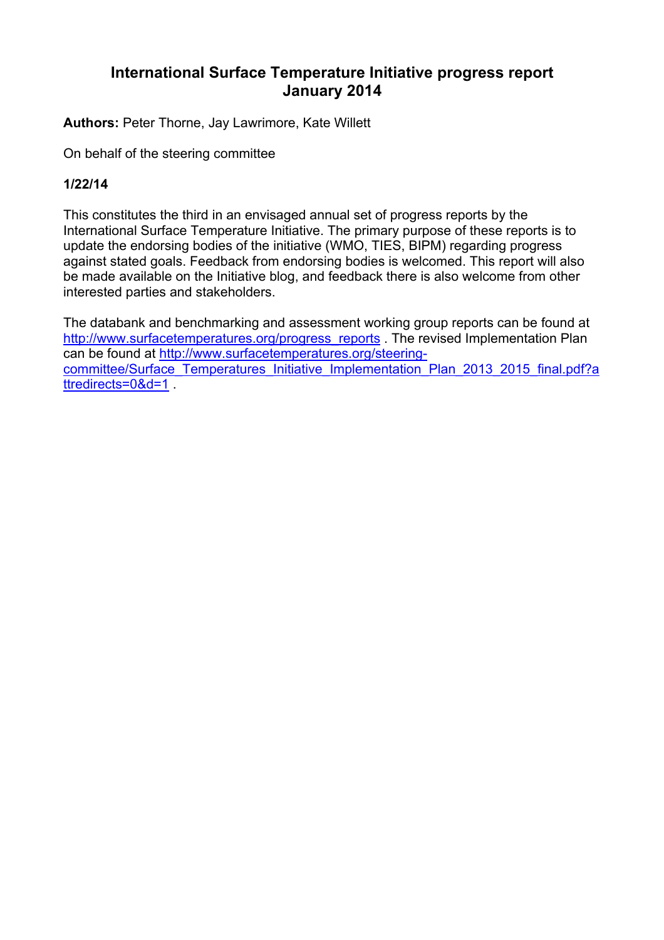# **International Surface Temperature Initiative progress report January 2014**

**Authors:** Peter Thorne, Jay Lawrimore, Kate Willett

On behalf of the steering committee

## **1/22/14**

This constitutes the third in an envisaged annual set of progress reports by the International Surface Temperature Initiative. The primary purpose of these reports is to update the endorsing bodies of the initiative (WMO, TIES, BIPM) regarding progress against stated goals. Feedback from endorsing bodies is welcomed. This report will also be made available on the Initiative blog, and feedback there is also welcome from other interested parties and stakeholders.

The databank and benchmarking and assessment working group reports can be found at http://www.surfacetemperatures.org/progress\_reports . The revised Implementation Plan can be found at http://www.surfacetemperatures.org/steeringcommittee/Surface\_Temperatures\_Initiative\_Implementation\_Plan\_2013\_2015\_final.pdf?a ttredirects=0&d=1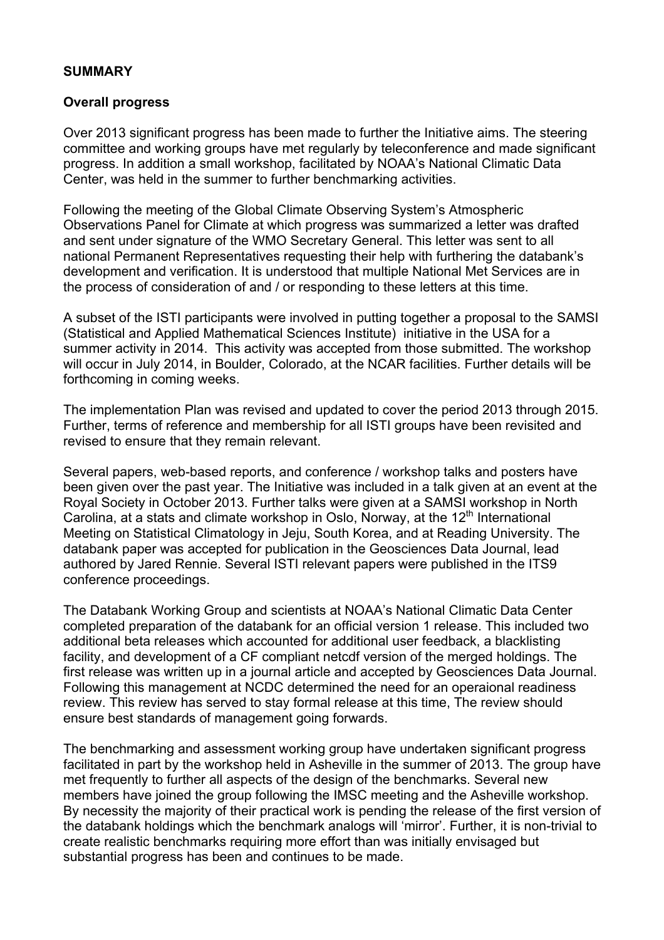### **SUMMARY**

#### **Overall progress**

Over 2013 significant progress has been made to further the Initiative aims. The steering committee and working groups have met regularly by teleconference and made significant progress. In addition a small workshop, facilitated by NOAA's National Climatic Data Center, was held in the summer to further benchmarking activities.

Following the meeting of the Global Climate Observing System's Atmospheric Observations Panel for Climate at which progress was summarized a letter was drafted and sent under signature of the WMO Secretary General. This letter was sent to all national Permanent Representatives requesting their help with furthering the databank's development and verification. It is understood that multiple National Met Services are in the process of consideration of and / or responding to these letters at this time.

A subset of the ISTI participants were involved in putting together a proposal to the SAMSI (Statistical and Applied Mathematical Sciences Institute) initiative in the USA for a summer activity in 2014. This activity was accepted from those submitted. The workshop will occur in July 2014, in Boulder, Colorado, at the NCAR facilities. Further details will be forthcoming in coming weeks.

The implementation Plan was revised and updated to cover the period 2013 through 2015. Further, terms of reference and membership for all ISTI groups have been revisited and revised to ensure that they remain relevant.

Several papers, web-based reports, and conference / workshop talks and posters have been given over the past year. The Initiative was included in a talk given at an event at the Royal Society in October 2013. Further talks were given at a SAMSI workshop in North Carolina, at a stats and climate workshop in Oslo, Norway, at the  $12<sup>th</sup>$  International Meeting on Statistical Climatology in Jeju, South Korea, and at Reading University. The databank paper was accepted for publication in the Geosciences Data Journal, lead authored by Jared Rennie. Several ISTI relevant papers were published in the ITS9 conference proceedings.

The Databank Working Group and scientists at NOAA's National Climatic Data Center completed preparation of the databank for an official version 1 release. This included two additional beta releases which accounted for additional user feedback, a blacklisting facility, and development of a CF compliant netcdf version of the merged holdings. The first release was written up in a journal article and accepted by Geosciences Data Journal. Following this management at NCDC determined the need for an operaional readiness review. This review has served to stay formal release at this time, The review should ensure best standards of management going forwards.

The benchmarking and assessment working group have undertaken significant progress facilitated in part by the workshop held in Asheville in the summer of 2013. The group have met frequently to further all aspects of the design of the benchmarks. Several new members have joined the group following the IMSC meeting and the Asheville workshop. By necessity the majority of their practical work is pending the release of the first version of the databank holdings which the benchmark analogs will 'mirror'. Further, it is non-trivial to create realistic benchmarks requiring more effort than was initially envisaged but substantial progress has been and continues to be made.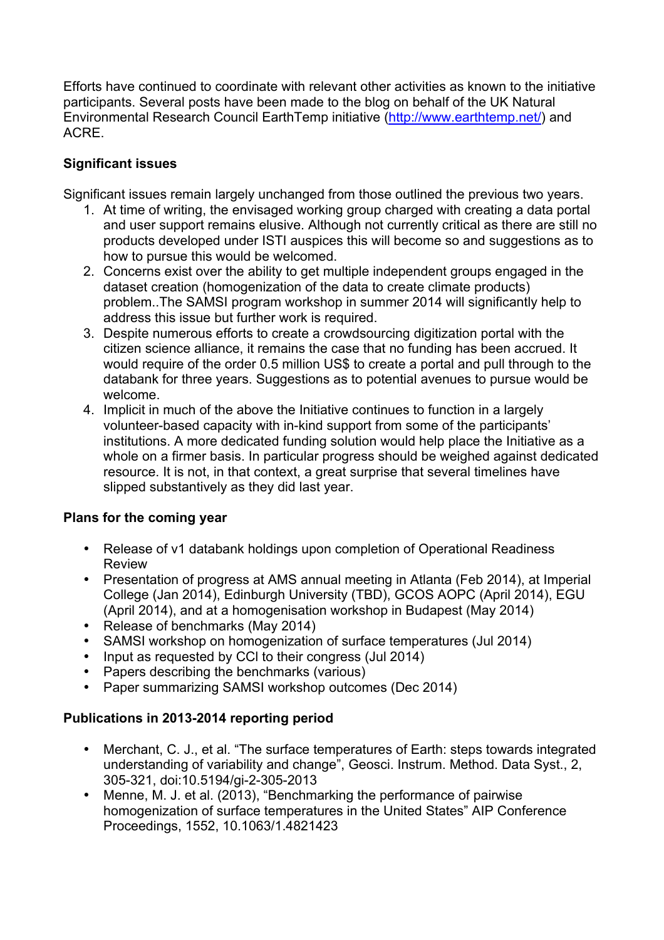Efforts have continued to coordinate with relevant other activities as known to the initiative participants. Several posts have been made to the blog on behalf of the UK Natural Environmental Research Council EarthTemp initiative (http://www.earthtemp.net/) and ACRE.

## **Significant issues**

Significant issues remain largely unchanged from those outlined the previous two years.

- 1. At time of writing, the envisaged working group charged with creating a data portal and user support remains elusive. Although not currently critical as there are still no products developed under ISTI auspices this will become so and suggestions as to how to pursue this would be welcomed.
- 2. Concerns exist over the ability to get multiple independent groups engaged in the dataset creation (homogenization of the data to create climate products) problem..The SAMSI program workshop in summer 2014 will significantly help to address this issue but further work is required.
- 3. Despite numerous efforts to create a crowdsourcing digitization portal with the citizen science alliance, it remains the case that no funding has been accrued. It would require of the order 0.5 million US\$ to create a portal and pull through to the databank for three years. Suggestions as to potential avenues to pursue would be welcome.
- 4. Implicit in much of the above the Initiative continues to function in a largely volunteer-based capacity with in-kind support from some of the participants' institutions. A more dedicated funding solution would help place the Initiative as a whole on a firmer basis. In particular progress should be weighed against dedicated resource. It is not, in that context, a great surprise that several timelines have slipped substantively as they did last year.

## **Plans for the coming year**

- Release of v1 databank holdings upon completion of Operational Readiness Review
- Presentation of progress at AMS annual meeting in Atlanta (Feb 2014), at Imperial College (Jan 2014), Edinburgh University (TBD), GCOS AOPC (April 2014), EGU (April 2014), and at a homogenisation workshop in Budapest (May 2014)
- Release of benchmarks (May 2014)
- SAMSI workshop on homogenization of surface temperatures (Jul 2014)
- Input as requested by CCI to their congress (Jul 2014)
- Papers describing the benchmarks (various)
- Paper summarizing SAMSI workshop outcomes (Dec 2014)

## **Publications in 2013-2014 reporting period**

- Merchant, C. J., et al. "The surface temperatures of Earth: steps towards integrated understanding of variability and change", Geosci. Instrum. Method. Data Syst., 2, 305-321, doi:10.5194/gi-2-305-2013
- Menne, M. J. et al. (2013), "Benchmarking the performance of pairwise homogenization of surface temperatures in the United States" AIP Conference Proceedings, 1552, 10.1063/1.4821423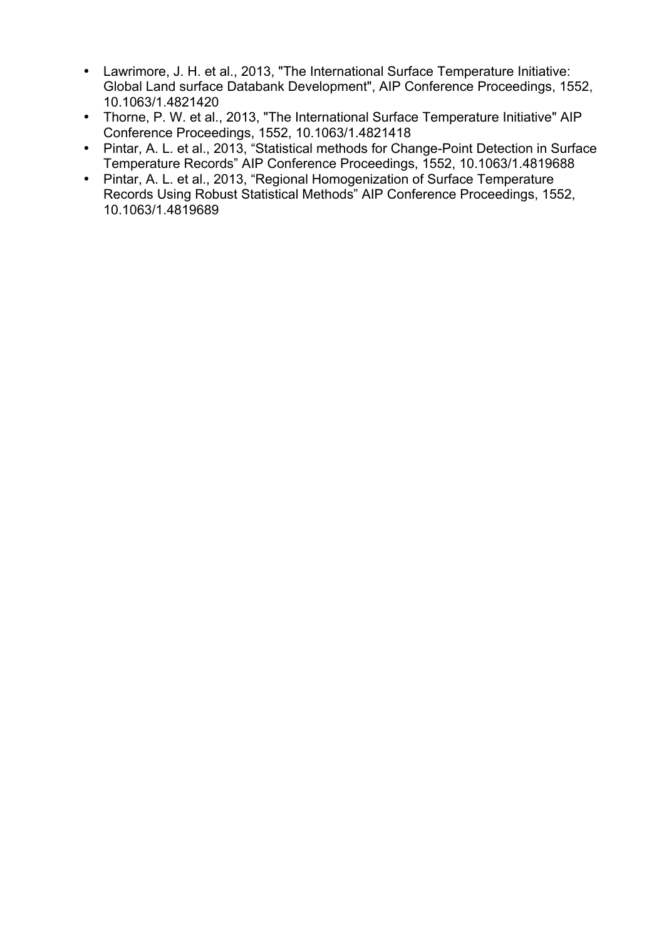- Lawrimore, J. H. et al., 2013, "The International Surface Temperature Initiative: Global Land surface Databank Development", AIP Conference Proceedings, 1552, 10.1063/1.4821420
- Thorne, P. W. et al., 2013, "The International Surface Temperature Initiative" AIP Conference Proceedings, 1552, 10.1063/1.4821418
- Pintar, A. L. et al., 2013, "Statistical methods for Change-Point Detection in Surface Temperature Records" AIP Conference Proceedings, 1552, 10.1063/1.4819688
- Pintar, A. L. et al., 2013, "Regional Homogenization of Surface Temperature Records Using Robust Statistical Methods" AIP Conference Proceedings, 1552, 10.1063/1.4819689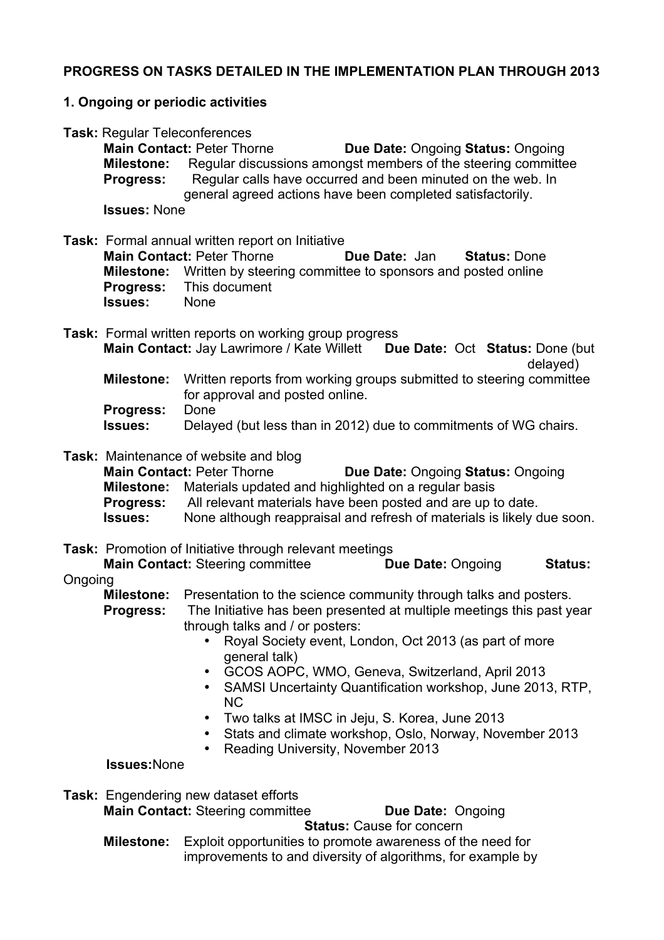## **PROGRESS ON TASKS DETAILED IN THE IMPLEMENTATION PLAN THROUGH 2013**

### **1. Ongoing or periodic activities**

**Task:** Regular Teleconferences **Main Contact: Peter Thorne <b>Due Date:** Ongoing Status: Ongoing **Milestone:** Regular discussions amongst members of the steering committee **Progress:** Regular calls have occurred and been minuted on the web. In general agreed actions have been completed satisfactorily. **Issues:** None

**Task:** Formal annual written report on Initiative **Main Contact: Peter Thorne <b>Due Date:** Jan **Status: Done Milestone:** Written by steering committee to sponsors and posted online **Progress:** This document **Issues:** None

**Task:** Formal written reports on working group progress **Main Contact:** Jay Lawrimore / Kate Willett **Due Date:** Oct **Status:** Done (but delayed)

- **Milestone:** Written reports from working groups submitted to steering committee for approval and posted online.
- **Progress:** Done

**Issues:** Delayed (but less than in 2012) due to commitments of WG chairs.

**Task:** Maintenance of website and blog

**Main Contact:** Peter Thorne **Due Date:** Ongoing **Status:** Ongoing

**Milestone:** Materials updated and highlighted on a regular basis

**Progress:** All relevant materials have been posted and are up to date.

**Issues:** None although reappraisal and refresh of materials is likely due soon.

**Task:** Promotion of Initiative through relevant meetings

**Main Contact:** Steering committee **Due Date:** Ongoing **Status:** Ongoing

**Milestone:** Presentation to the science community through talks and posters.

**Progress:** The Initiative has been presented at multiple meetings this past year through talks and / or posters:

- Royal Society event, London, Oct 2013 (as part of more general talk)
- GCOS AOPC, WMO, Geneva, Switzerland, April 2013
- SAMSI Uncertainty Quantification workshop, June 2013, RTP, NC
- Two talks at IMSC in Jeju, S. Korea, June 2013
- Stats and climate workshop, Oslo, Norway, November 2013
- Reading University, November 2013

**Issues:**None

**Task:** Engendering new dataset efforts **Main Contact:** Steering committee **Due Date:** Ongoing **Status:** Cause for concern **Milestone:** Exploit opportunities to promote awareness of the need for improvements to and diversity of algorithms, for example by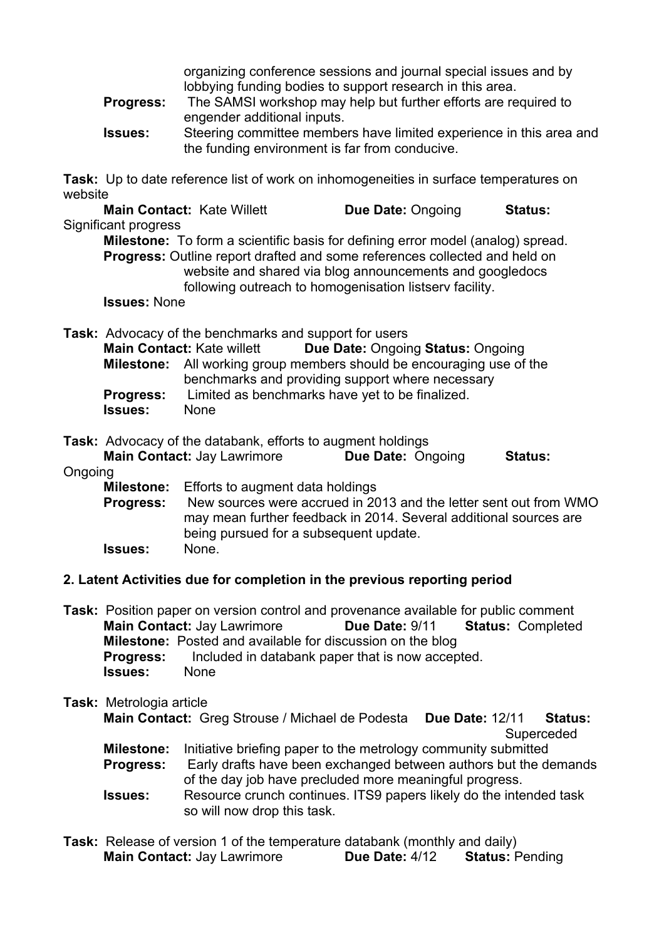organizing conference sessions and journal special issues and by lobbying funding bodies to support research in this area.

- **Progress:** The SAMSI workshop may help but further efforts are required to engender additional inputs.
- **Issues:** Steering committee members have limited experience in this area and the funding environment is far from conducive.

**Task:** Up to date reference list of work on inhomogeneities in surface temperatures on website

**Main Contact:** Kate Willett **Due Date:** Ongoing **Status:** Significant progress **Milestone:** To form a scientific basis for defining error model (analog) spread. **Progress:** Outline report drafted and some references collected and held on website and shared via blog announcements and googledocs following outreach to homogenisation listserv facility. **Issues:** None **Task:** Advocacy of the benchmarks and support for users **Main Contact: Kate willett Due Date: Ongoing Status: Ongoing Milestone:** All working group members should be encouraging use of the benchmarks and providing support where necessary **Progress:** Limited as benchmarks have yet to be finalized.

**Issues:** None

**Task:** Advocacy of the databank, efforts to augment holdings

**Main Contact:** Jay Lawrimore **Due Date:** Ongoing **Status:** 

Ongoing

**Milestone:** Efforts to augment data holdings

**Progress:** New sources were accrued in 2013 and the letter sent out from WMO may mean further feedback in 2014. Several additional sources are being pursued for a subsequent update. **Issues:** None.

### **2. Latent Activities due for completion in the previous reporting period**

**Task:** Position paper on version control and provenance available for public comment **Main Contact:** Jay Lawrimore **Due Date:** 9/11 **Status:** Completed **Milestone:** Posted and available for discussion on the blog **Progress:** Included in databank paper that is now accepted. **Issues:** None

### **Task:** Metrologia article

**Main Contact:** Greg Strouse / Michael de Podesta **Due Date:** 12/11 **Status:**  Superceded

- **Milestone:** Initiative briefing paper to the metrology community submitted **Progress:** Early drafts have been exchanged between authors but the demands of the day job have precluded more meaningful progress.
- **Issues:** Resource crunch continues. ITS9 papers likely do the intended task so will now drop this task.
- **Task:** Release of version 1 of the temperature databank (monthly and daily) **Main Contact:** Jay Lawrimore **Due Date:** 4/12 **Status: Pending**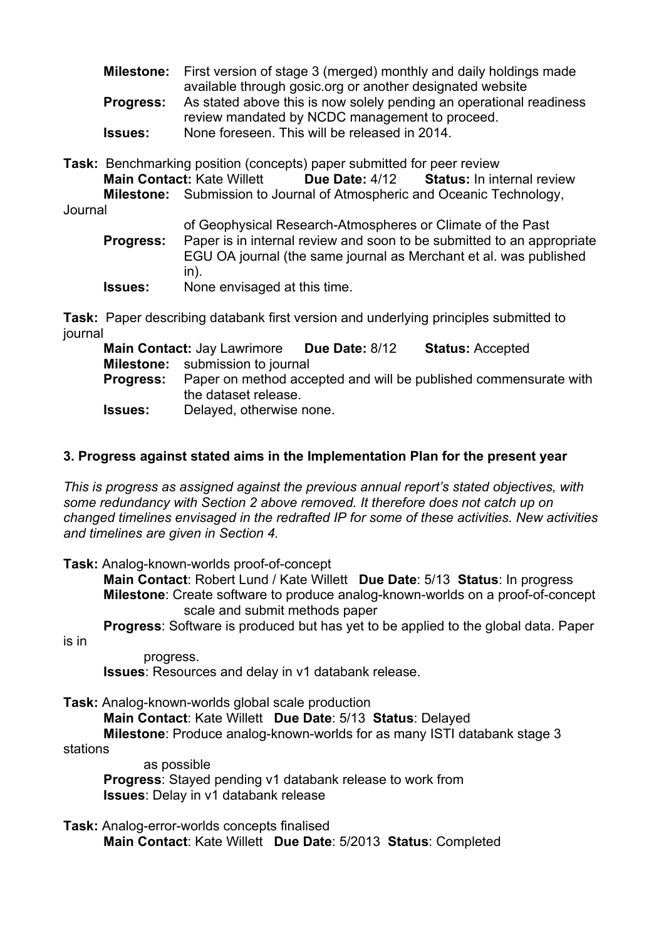- **Milestone:** First version of stage 3 (merged) monthly and daily holdings made available through gosic.org or another designated website
- **Progress:** As stated above this is now solely pending an operational readiness review mandated by NCDC management to proceed. **Issues:** None foreseen. This will be released in 2014.
- **Task:** Benchmarking position (concepts) paper submitted for peer review **Main Contact:** Kate Willett **Due Date:** 4/12 **Status:** In internal review **Milestone:** Submission to Journal of Atmospheric and Oceanic Technology,

Journal

of Geophysical Research-Atmospheres or Climate of the Past **Progress:** Paper is in internal review and soon to be submitted to an appropriate EGU OA journal (the same journal as Merchant et al. was published in). **Issues:** None envisaged at this time.

**Task:** Paper describing databank first version and underlying principles submitted to journal

|                | <b>Main Contact: Jay Lawrimore Due Date: 8/12</b> | <b>Status: Accepted</b>                                                           |  |
|----------------|---------------------------------------------------|-----------------------------------------------------------------------------------|--|
|                | <b>Milestone:</b> submission to journal           |                                                                                   |  |
|                | the dataset release.                              | <b>Progress:</b> Paper on method accepted and will be published commensurate with |  |
| <b>Issues:</b> | Delayed, otherwise none.                          |                                                                                   |  |

## **3. Progress against stated aims in the Implementation Plan for the present year**

*This is progress as assigned against the previous annual report's stated objectives, with some redundancy with Section 2 above removed. It therefore does not catch up on changed timelines envisaged in the redrafted IP for some of these activities. New activities and timelines are given in Section 4.* 

**Task:** Analog-known-worlds proof-of-concept

**Main Contact**: Robert Lund / Kate Willett **Due Date**: 5/13 **Status**: In progress **Milestone**: Create software to produce analog-known-worlds on a proof-of-concept scale and submit methods paper

**Progress**: Software is produced but has yet to be applied to the global data. Paper

is in

progress.

**Issues**: Resources and delay in v1 databank release.

**Task:** Analog-known-worlds global scale production

**Main Contact**: Kate Willett **Due Date**: 5/13 **Status**: Delayed

**Milestone**: Produce analog-known-worlds for as many ISTI databank stage 3

stations

as possible **Progress**: Stayed pending v1 databank release to work from **Issues**: Delay in v1 databank release

**Task:** Analog-error-worlds concepts finalised **Main Contact**: Kate Willett **Due Date**: 5/2013 **Status**: Completed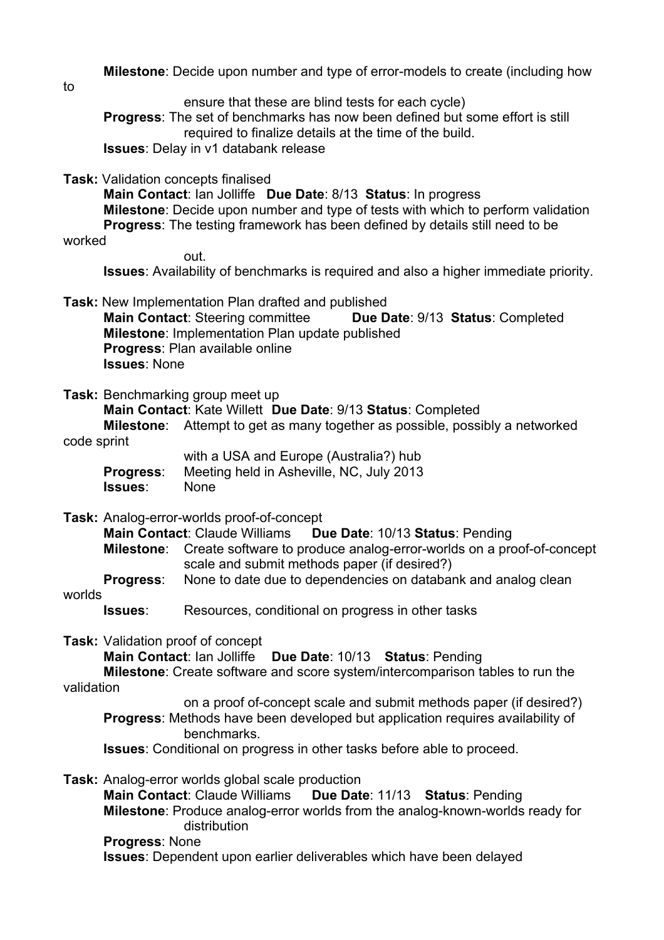**Milestone**: Decide upon number and type of error-models to create (including how to ensure that these are blind tests for each cycle) **Progress**: The set of benchmarks has now been defined but some effort is still required to finalize details at the time of the build. **Issues**: Delay in v1 databank release **Task:** Validation concepts finalised **Main Contact**: Ian Jolliffe **Due Date**: 8/13 **Status**: In progress **Milestone**: Decide upon number and type of tests with which to perform validation **Progress**: The testing framework has been defined by details still need to be worked out. **Issues**: Availability of benchmarks is required and also a higher immediate priority. **Task:** New Implementation Plan drafted and published **Main Contact**: Steering committee **Due Date**: 9/13 **Status**: Completed **Milestone**: Implementation Plan update published **Progress**: Plan available online **Issues**: None **Task:** Benchmarking group meet up **Main Contact**: Kate Willett **Due Date**: 9/13 **Status**: Completed **Milestone**: Attempt to get as many together as possible, possibly a networked code sprint with a USA and Europe (Australia?) hub **Progress**: Meeting held in Asheville, NC, July 2013 **Issues**: None **Task:** Analog-error-worlds proof-of-concept **Main Contact**: Claude Williams **Due Date**: 10/13 **Status**: Pending **Milestone**: Create software to produce analog-error-worlds on a proof-of-concept scale and submit methods paper (if desired?) **Progress:** None to date due to dependencies on databank and analog clean worlds **Issues:** Resources, conditional on progress in other tasks **Task:** Validation proof of concept **Main Contact**: Ian Jolliffe **Due Date**: 10/13 **Status**: Pending **Milestone**: Create software and score system/intercomparison tables to run the validation on a proof of-concept scale and submit methods paper (if desired?) **Progress**: Methods have been developed but application requires availability of benchmarks. **Issues**: Conditional on progress in other tasks before able to proceed. **Task:** Analog-error worlds global scale production **Main Contact**: Claude Williams **Due Date**: 11/13 **Status**: Pending **Milestone**: Produce analog-error worlds from the analog-known-worlds ready for distribution **Progress**: None **Issues**: Dependent upon earlier deliverables which have been delayed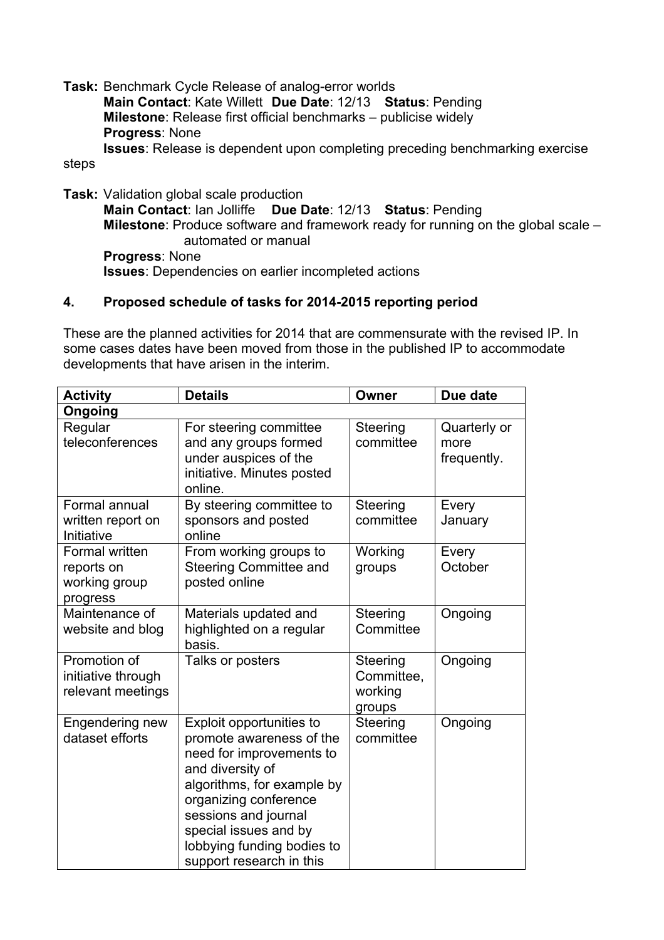**Task:** Benchmark Cycle Release of analog-error worlds **Main Contact**: Kate Willett **Due Date**: 12/13 **Status**: Pending **Milestone**: Release first official benchmarks – publicise widely **Progress**: None **Issues**: Release is dependent upon completing preceding benchmarking exercise

steps

**Task:** Validation global scale production **Main Contact**: Ian Jolliffe **Due Date**: 12/13 **Status**: Pending **Milestone**: Produce software and framework ready for running on the global scale – automated or manual **Progress**: None **Issues**: Dependencies on earlier incompleted actions

### **4. Proposed schedule of tasks for 2014-2015 reporting period**

These are the planned activities for 2014 that are commensurate with the revised IP. In some cases dates have been moved from those in the published IP to accommodate developments that have arisen in the interim.

| <b>Activity</b>                                           | <b>Details</b>                                                                                                                                                                                                                                                         | Owner                                       | Due date                            |  |  |
|-----------------------------------------------------------|------------------------------------------------------------------------------------------------------------------------------------------------------------------------------------------------------------------------------------------------------------------------|---------------------------------------------|-------------------------------------|--|--|
| Ongoing                                                   |                                                                                                                                                                                                                                                                        |                                             |                                     |  |  |
| Regular<br>teleconferences                                | For steering committee<br>and any groups formed<br>under auspices of the<br>initiative. Minutes posted<br>online.                                                                                                                                                      | Steering<br>committee                       | Quarterly or<br>more<br>frequently. |  |  |
| Formal annual<br>written report on<br>Initiative          | By steering committee to<br>sponsors and posted<br>online                                                                                                                                                                                                              | Steering<br>committee                       | Every<br>January                    |  |  |
| Formal written<br>reports on<br>working group<br>progress | From working groups to<br><b>Steering Committee and</b><br>posted online                                                                                                                                                                                               | Working<br>groups                           | Every<br>October                    |  |  |
| Maintenance of<br>website and blog                        | Materials updated and<br>highlighted on a regular<br>basis.                                                                                                                                                                                                            | Steering<br>Committee                       | Ongoing                             |  |  |
| Promotion of<br>initiative through<br>relevant meetings   | Talks or posters                                                                                                                                                                                                                                                       | Steering<br>Committee,<br>working<br>groups | Ongoing                             |  |  |
| Engendering new<br>dataset efforts                        | Exploit opportunities to<br>promote awareness of the<br>need for improvements to<br>and diversity of<br>algorithms, for example by<br>organizing conference<br>sessions and journal<br>special issues and by<br>lobbying funding bodies to<br>support research in this | Steering<br>committee                       | Ongoing                             |  |  |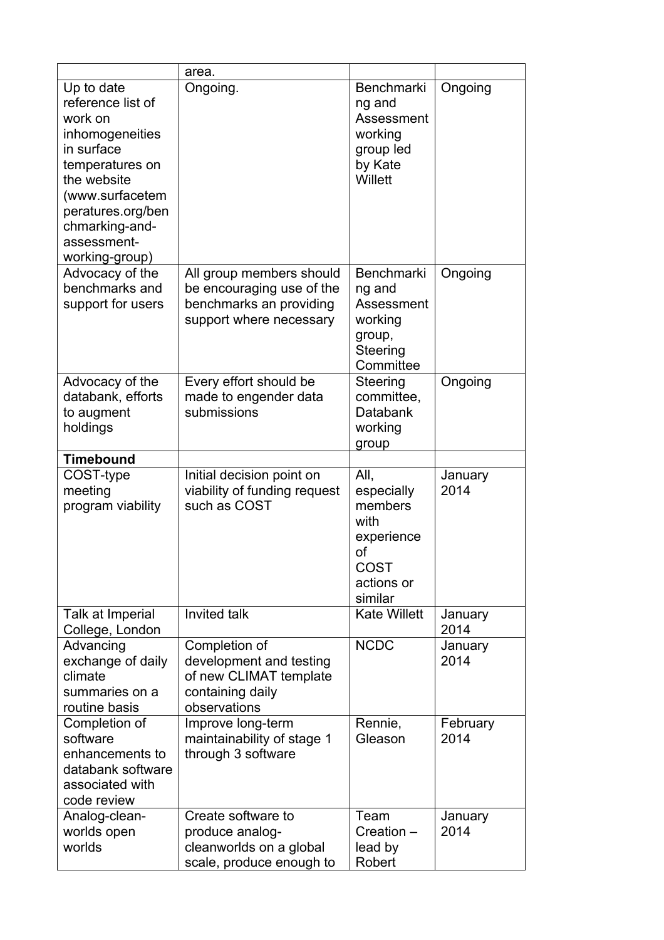|                                                                                                                                                                                                          | area.                                                                                                       |                                                                                            |                  |
|----------------------------------------------------------------------------------------------------------------------------------------------------------------------------------------------------------|-------------------------------------------------------------------------------------------------------------|--------------------------------------------------------------------------------------------|------------------|
| Up to date<br>reference list of<br>work on<br>inhomogeneities<br>in surface<br>temperatures on<br>the website<br>(www.surfacetem<br>peratures.org/ben<br>chmarking-and-<br>assessment-<br>working-group) | Ongoing.                                                                                                    | <b>Benchmarki</b><br>ng and<br>Assessment<br>working<br>group led<br>by Kate<br>Willett    | Ongoing          |
| Advocacy of the<br>benchmarks and<br>support for users                                                                                                                                                   | All group members should<br>be encouraging use of the<br>benchmarks an providing<br>support where necessary | <b>Benchmarki</b><br>ng and<br>Assessment<br>working<br>group,<br>Steering<br>Committee    | Ongoing          |
| Advocacy of the<br>databank, efforts<br>to augment<br>holdings                                                                                                                                           | Every effort should be<br>made to engender data<br>submissions                                              | Steering<br>committee,<br>Databank<br>working<br>group                                     | Ongoing          |
| <b>Timebound</b>                                                                                                                                                                                         |                                                                                                             |                                                                                            |                  |
| COST-type<br>meeting<br>program viability                                                                                                                                                                | Initial decision point on<br>viability of funding request<br>such as COST                                   | All,<br>especially<br>members<br>with<br>experience<br>οf<br>COST<br>actions or<br>similar | January<br>2014  |
| Talk at Imperial<br>College, London                                                                                                                                                                      | Invited talk                                                                                                | <b>Kate Willett</b>                                                                        | January<br>2014  |
| Advancing<br>exchange of daily<br>climate<br>summaries on a<br>routine basis                                                                                                                             | Completion of<br>development and testing<br>of new CLIMAT template<br>containing daily<br>observations      | <b>NCDC</b>                                                                                | January<br>2014  |
| Completion of<br>software<br>enhancements to<br>databank software<br>associated with<br>code review                                                                                                      | Improve long-term<br>maintainability of stage 1<br>through 3 software                                       | Rennie,<br>Gleason                                                                         | February<br>2014 |
| Analog-clean-<br>worlds open<br>worlds                                                                                                                                                                   | Create software to<br>produce analog-<br>cleanworlds on a global<br>scale, produce enough to                | Team<br>Creation -<br>lead by<br>Robert                                                    | January<br>2014  |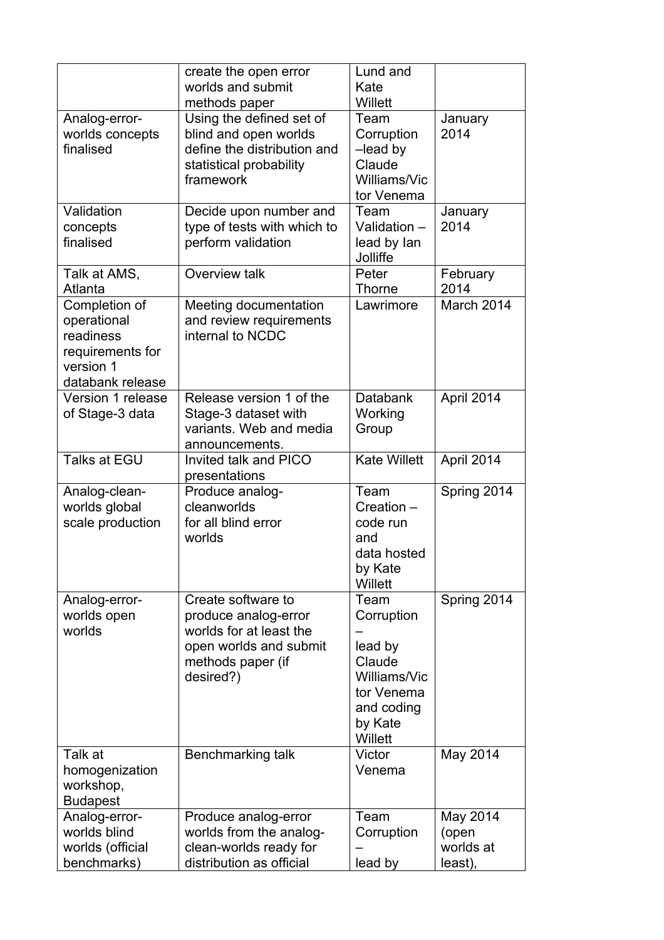|                                                                                                | create the open error<br>worlds and submit<br>methods paper                                                                       | Lund and<br>Kate<br>Willett                                                                               |                                           |
|------------------------------------------------------------------------------------------------|-----------------------------------------------------------------------------------------------------------------------------------|-----------------------------------------------------------------------------------------------------------|-------------------------------------------|
| Analog-error-<br>worlds concepts<br>finalised                                                  | Using the defined set of<br>blind and open worlds<br>define the distribution and<br>statistical probability<br>framework          | Team<br>Corruption<br>$-$ lead by<br>Claude<br>Williams/Vic<br>tor Venema                                 | January<br>2014                           |
| Validation<br>concepts<br>finalised                                                            | Decide upon number and<br>type of tests with which to<br>perform validation                                                       | Team<br>Validation -<br>lead by lan<br>Jolliffe                                                           | January<br>2014                           |
| Talk at AMS,<br>Atlanta                                                                        | Overview talk                                                                                                                     | Peter<br>Thorne                                                                                           | February<br>2014                          |
| Completion of<br>operational<br>readiness<br>requirements for<br>version 1<br>databank release | Meeting documentation<br>and review requirements<br>internal to NCDC                                                              | Lawrimore                                                                                                 | March 2014                                |
| Version 1 release<br>of Stage-3 data                                                           | Release version 1 of the<br>Stage-3 dataset with<br>variants. Web and media<br>announcements.                                     | <b>Databank</b><br>Working<br>Group                                                                       | April 2014                                |
| Talks at EGU                                                                                   | Invited talk and PICO<br>presentations                                                                                            | <b>Kate Willett</b>                                                                                       | April 2014                                |
| Analog-clean-<br>worlds global<br>scale production                                             | Produce analog-<br>cleanworlds<br>for all blind error<br>worlds                                                                   | Team<br>Creation -<br>code run<br>and<br>data hosted<br>by Kate<br>Willett                                | Spring 2014                               |
| Analog-error-<br>worlds open<br>worlds                                                         | Create software to<br>produce analog-error<br>worlds for at least the<br>open worlds and submit<br>methods paper (if<br>desired?) | Team<br>Corruption<br>lead by<br>Claude<br>Williams/Vic<br>tor Venema<br>and coding<br>by Kate<br>Willett | Spring 2014                               |
| Talk at<br>homogenization<br>workshop,<br><b>Budapest</b>                                      | Benchmarking talk                                                                                                                 | Victor<br>Venema                                                                                          | May 2014                                  |
| Analog-error-<br>worlds blind<br>worlds (official<br>benchmarks)                               | Produce analog-error<br>worlds from the analog-<br>clean-worlds ready for<br>distribution as official                             | Team<br>Corruption<br>lead by                                                                             | May 2014<br>(open<br>worlds at<br>least), |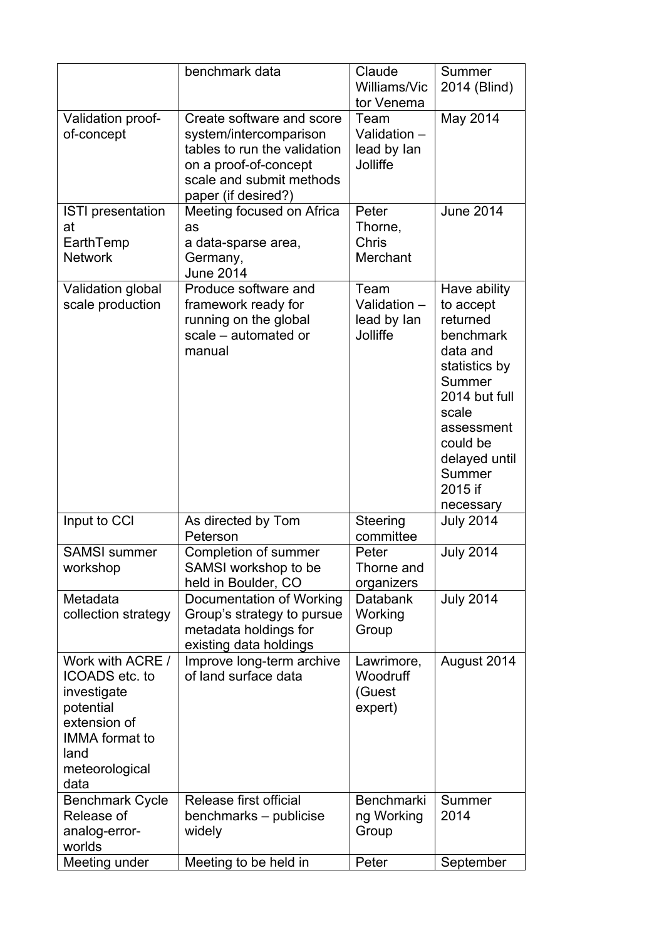|                                                                                                                                           | benchmark data                                                                                                                                                  | Claude<br>Williams/Vic<br>tor Venema            | Summer<br>2014 (Blind)                                                                                                                                                                           |
|-------------------------------------------------------------------------------------------------------------------------------------------|-----------------------------------------------------------------------------------------------------------------------------------------------------------------|-------------------------------------------------|--------------------------------------------------------------------------------------------------------------------------------------------------------------------------------------------------|
| Validation proof-<br>of-concept                                                                                                           | Create software and score<br>system/intercomparison<br>tables to run the validation<br>on a proof-of-concept<br>scale and submit methods<br>paper (if desired?) | Team<br>Validation -<br>lead by lan<br>Jolliffe | May 2014                                                                                                                                                                                         |
| <b>ISTI</b> presentation<br>at<br>EarthTemp<br><b>Network</b>                                                                             | Meeting focused on Africa<br>as<br>a data-sparse area,<br>Germany,<br><b>June 2014</b>                                                                          | Peter<br>Thorne,<br>Chris<br>Merchant           | <b>June 2014</b>                                                                                                                                                                                 |
| Validation global<br>scale production                                                                                                     | Produce software and<br>framework ready for<br>running on the global<br>scale - automated or<br>manual                                                          | Team<br>Validation -<br>lead by lan<br>Jolliffe | Have ability<br>to accept<br>returned<br>benchmark<br>data and<br>statistics by<br>Summer<br>2014 but full<br>scale<br>assessment<br>could be<br>delayed until<br>Summer<br>2015 if<br>necessary |
| Input to CCI                                                                                                                              | As directed by Tom<br>Peterson                                                                                                                                  | Steering<br>committee                           | <b>July 2014</b>                                                                                                                                                                                 |
| <b>SAMSI summer</b><br>workshop                                                                                                           | Completion of summer<br>SAMSI workshop to be<br>held in Boulder, CO                                                                                             | Peter<br>Thorne and<br>organizers               | <b>July 2014</b>                                                                                                                                                                                 |
| Metadata<br>collection strategy                                                                                                           | Documentation of Working<br>Group's strategy to pursue<br>metadata holdings for<br>existing data holdings                                                       | <b>Databank</b><br>Working<br>Group             | <b>July 2014</b>                                                                                                                                                                                 |
| Work with ACRE /<br>ICOADS etc. to<br>investigate<br>potential<br>extension of<br><b>IMMA</b> format to<br>land<br>meteorological<br>data | Improve long-term archive<br>of land surface data                                                                                                               | Lawrimore,<br>Woodruff<br>(Guest<br>expert)     | August 2014                                                                                                                                                                                      |
| <b>Benchmark Cycle</b><br>Release of<br>analog-error-<br>worlds                                                                           | Release first official<br>benchmarks - publicise<br>widely                                                                                                      | <b>Benchmarki</b><br>ng Working<br>Group        | Summer<br>2014                                                                                                                                                                                   |
| Meeting under                                                                                                                             | Meeting to be held in                                                                                                                                           | Peter                                           | September                                                                                                                                                                                        |